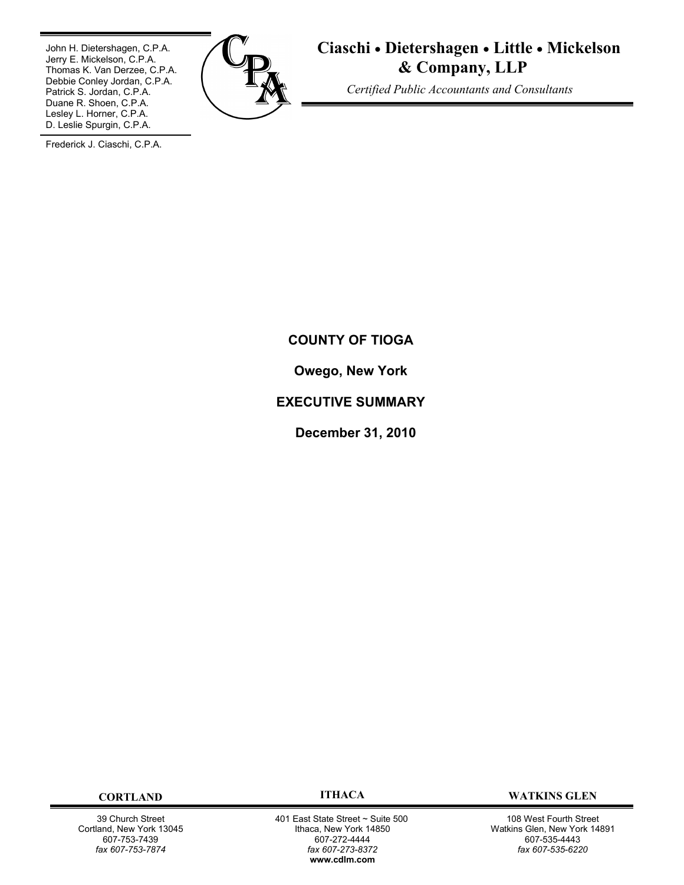John H. Dietershagen, C.P.A. Jerry E. Mickelson, C.P.A. Thomas K. Van Derzee, C.P.A. Debbie Conley Jordan, C.P.A. Patrick S. Jordan, C.P.A. Duane R. Shoen, C.P.A. Lesley L. Horner, C.P.A. D. Leslie Spurgin, C.P.A.



**Ciaschi Dietershagen Little Mickelson & Company, LLP**

 *Certified Public Accountants and Consultants*

Frederick J. Ciaschi, C.P.A.

# **COUNTY OF TIOGA**

**Owego, New York**

# **EXECUTIVE SUMMARY**

**December 31, 2010**

39 Church Street Cortland, New York 13045 607-753-7439 *fax 607-753-7874*

 401 East State Street ~ Suite 500 Ithaca, New York 14850 607-272-4444 *fax 607-273-8372* **w[ww.cdlm.com](www.cdlm.com)**

**CORTLAND ITHACA WATKINS GLEN**

108 West Fourth Street Watkins Glen, New York 14891 607-535-4443 *fax 607-535-6220*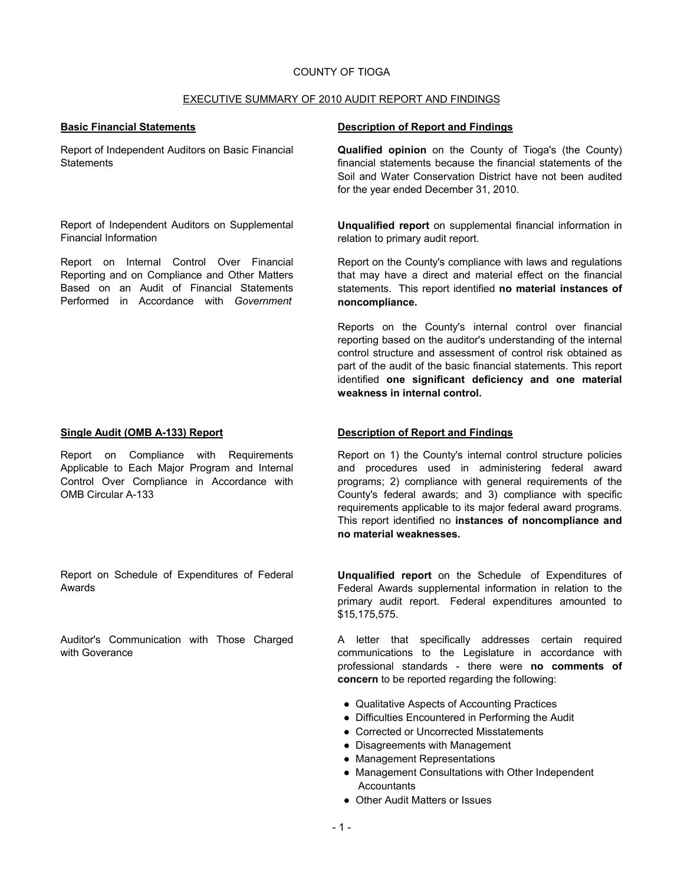## COUNTY OF TIOGA

### EXECUTIVE SUMMARY OF 2010 AUDIT REPORT AND FINDINGS

Report of Independent Auditors on Basic Financial **Statements** 

Report of Independent Auditors on Supplemental Financial Information

Report on Internal Control Over Financial Reporting and on Compliance and Other Matters Based on an Audit of Financial Statements Performed in Accordance with *Government* 

Report on Compliance with Requirements Applicable to Each Major Program and Internal Control Over Compliance in Accordance with OMB Circular A-133

Report on Schedule of Expenditures of Federal Awards

Auditor's Communication with Those Charged with Goverance

## **Basic Financial Statements Description of Report and Findings**

**Qualified opinion** on the County of Tioga's (the County) financial statements because the financial statements of the Soil and Water Conservation District have not been audited for the year ended December 31, 2010.

**Unqualified report** on supplemental financial information in relation to primary audit report.

Report on the County's compliance with laws and regulations that may have a direct and material effect on the financial statements. This report identified **no material instances of noncompliance.**

Reports on the County's internal control over financial reporting based on the auditor's understanding of the internal control structure and assessment of control risk obtained as part of the audit of the basic financial statements. This report identified **one significant deficiency and one material weakness in internal control.**

## **Single Audit (OMB A-133) Report Description of Report and Findings**

Report on 1) the County's internal control structure policies and procedures used in administering federal award programs; 2) compliance with general requirements of the County's federal awards; and 3) compliance with specific requirements applicable to its major federal award programs. This report identified no **instances of noncompliance and no material weaknesses.**

**Unqualified report** on the Schedule of Expenditures of Federal Awards supplemental information in relation to the primary audit report. Federal expenditures amounted to \$15,175,575.

A letter that specifically addresses certain required communications to the Legislature in accordance with professional standards - there were **no comments of concern** to be reported regarding the following:

- Qualitative Aspects of Accounting Practices
- Difficulties Encountered in Performing the Audit
- Corrected or Uncorrected Misstatements
- Disagreements with Management
- Management Representations
- Management Consultations with Other Independent **Accountants**
- Other Audit Matters or Issues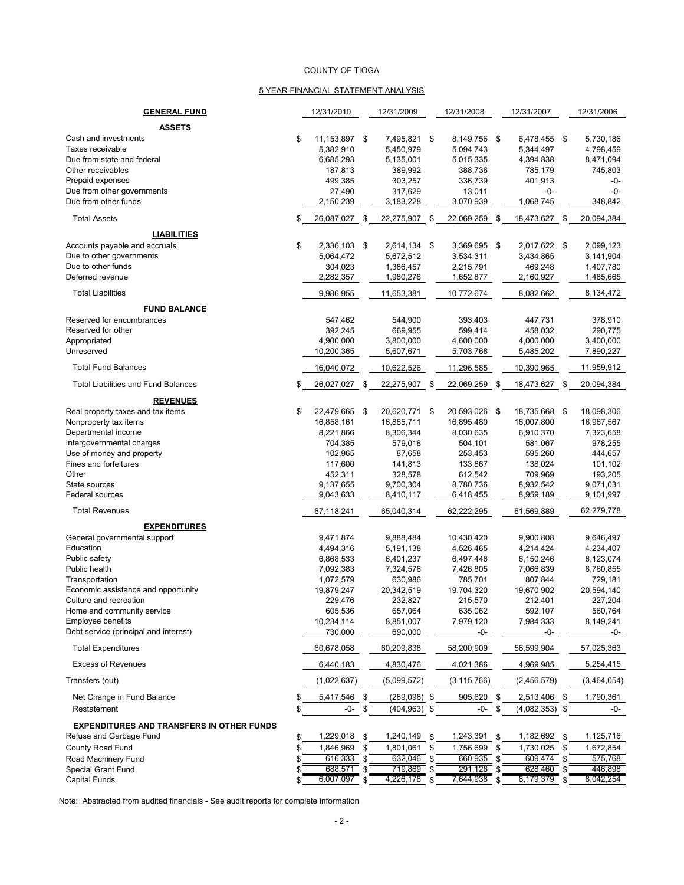#### COUNTY OF TIOGA

#### 5 YEAR FINANCIAL STATEMENT ANALYSIS

| <b>GENERAL FUND</b>                                                                                                                                                                                                                                                                                                  |          | 12/31/2010                                                                                                                             |               | 12/31/2009                                                                                                                            |          | 12/31/2008                                                                                                                                 |                            | 12/31/2007                                                                                                                                |          | 12/31/2006                                                                                                                             |
|----------------------------------------------------------------------------------------------------------------------------------------------------------------------------------------------------------------------------------------------------------------------------------------------------------------------|----------|----------------------------------------------------------------------------------------------------------------------------------------|---------------|---------------------------------------------------------------------------------------------------------------------------------------|----------|--------------------------------------------------------------------------------------------------------------------------------------------|----------------------------|-------------------------------------------------------------------------------------------------------------------------------------------|----------|----------------------------------------------------------------------------------------------------------------------------------------|
| <b>ASSETS</b>                                                                                                                                                                                                                                                                                                        |          |                                                                                                                                        |               |                                                                                                                                       |          |                                                                                                                                            |                            |                                                                                                                                           |          |                                                                                                                                        |
| Cash and investments<br>Taxes receivable<br>Due from state and federal<br>Other receivables<br>Prepaid expenses<br>Due from other governments<br>Due from other funds                                                                                                                                                | \$       | 11,153,897 \$<br>5,382,910<br>6,685,293<br>187,813<br>499,385<br>27,490<br>2,150,239                                                   |               | 7,495,821<br>5,450,979<br>5,135,001<br>389,992<br>303,257<br>317,629<br>3,183,228                                                     | -\$      | 8,149,756 \$<br>5,094,743<br>5,015,335<br>388,736<br>336,739<br>13,011<br>3,070,939                                                        |                            | 6.478.455 \$<br>5,344,497<br>4,394,838<br>785,179<br>401,913<br>-0-<br>1,068,745                                                          |          | 5,730,186<br>4,798,459<br>8,471,094<br>745,803<br>-0-<br>$-0-$<br>348,842                                                              |
| <b>Total Assets</b>                                                                                                                                                                                                                                                                                                  | \$       | 26,087,027                                                                                                                             | \$            | 22,275,907                                                                                                                            | \$       | 22,069,259 \$                                                                                                                              |                            | 18,473,627                                                                                                                                | -\$      | 20,094,384                                                                                                                             |
| <b>LIABILITIES</b><br>Accounts payable and accruals<br>Due to other governments<br>Due to other funds<br>Deferred revenue<br><b>Total Liabilities</b>                                                                                                                                                                | \$       | 2,336,103 \$<br>5,064,472<br>304,023<br>2,282,357<br>9,986,955                                                                         |               | 2,614,134<br>5,672,512<br>1,386,457<br>1,980,278<br>11,653,381                                                                        | -\$      | 3,369,695 \$<br>3,534,311<br>2,215,791<br>1,652,877<br>10,772,674                                                                          |                            | 2.017.622 \$<br>3,434,865<br>469,248<br>2,160,927<br>8,082,662                                                                            |          | 2,099,123<br>3,141,904<br>1,407,780<br>1,485,665<br>8,134,472                                                                          |
| <b>FUND BALANCE</b>                                                                                                                                                                                                                                                                                                  |          |                                                                                                                                        |               |                                                                                                                                       |          |                                                                                                                                            |                            |                                                                                                                                           |          |                                                                                                                                        |
| Reserved for encumbrances<br>Reserved for other<br>Appropriated<br>Unreserved                                                                                                                                                                                                                                        |          | 547,462<br>392,245<br>4,900,000<br>10,200,365                                                                                          |               | 544,900<br>669,955<br>3,800,000<br>5,607,671                                                                                          |          | 393,403<br>599,414<br>4,600,000<br>5,703,768                                                                                               |                            | 447,731<br>458,032<br>4,000,000<br>5,485,202                                                                                              |          | 378,910<br>290.775<br>3,400,000<br>7,890,227                                                                                           |
| <b>Total Fund Balances</b>                                                                                                                                                                                                                                                                                           |          | 16,040,072                                                                                                                             |               | 10,622,526                                                                                                                            |          | 11,296,585                                                                                                                                 |                            | 10,390,965                                                                                                                                |          | 11,959,912                                                                                                                             |
| <b>Total Liabilities and Fund Balances</b>                                                                                                                                                                                                                                                                           | \$       | 26,027,027 \$                                                                                                                          |               | 22,275,907                                                                                                                            | - \$     | 22,069,259                                                                                                                                 | \$                         | 18,473,627 \$                                                                                                                             |          | 20,094,384                                                                                                                             |
| <b>REVENUES</b><br>Real property taxes and tax items<br>Nonproperty tax items<br>Departmental income<br>Intergovernmental charges<br>Use of money and property<br>Fines and forfeitures<br>Other<br>State sources<br>Federal sources<br><b>Total Revenues</b><br><b>EXPENDITURES</b><br>General governmental support | \$       | 22,479,665<br>16,858,161<br>8,221,866<br>704,385<br>102,965<br>117,600<br>452,311<br>9,137,655<br>9,043,633<br>67,118,241<br>9,471,874 | \$            | 20,620,771<br>16,865,711<br>8,306,344<br>579,018<br>87,658<br>141,813<br>328,578<br>9,700,304<br>8,410,117<br>65,040,314<br>9,888,484 | \$       | 20,593,026 \$<br>16,895,480<br>8,030,635<br>504,101<br>253,453<br>133,867<br>612,542<br>8,780,736<br>6,418,455<br>62,222,295<br>10,430,420 |                            | 18,735,668 \$<br>16,007,800<br>6,910,370<br>581,067<br>595,260<br>138,024<br>709,969<br>8,932,542<br>8,959,189<br>61,569,889<br>9,900,808 |          | 18,098,306<br>16,967,567<br>7,323,658<br>978,255<br>444,657<br>101,102<br>193,205<br>9,071,031<br>9,101,997<br>62,279,778<br>9,646,497 |
| Education<br>Public safety<br>Public health<br>Transportation<br>Economic assistance and opportunity<br>Culture and recreation<br>Home and community service<br><b>Employee benefits</b><br>Debt service (principal and interest)                                                                                    |          | 4,494,316<br>6,868,533<br>7,092,383<br>1,072,579<br>19,879,247<br>229,476<br>605,536<br>10,234,114<br>730,000                          |               | 5,191,138<br>6,401,237<br>7,324,576<br>630,986<br>20,342,519<br>232,827<br>657,064<br>8,851,007<br>690,000                            |          | 4,526,465<br>6,497,446<br>7,426,805<br>785,701<br>19,704,320<br>215,570<br>635,062<br>7,979,120<br>-0-                                     |                            | 4,214,424<br>6,150,246<br>7,066,839<br>807,844<br>19,670,902<br>212,401<br>592,107<br>7,984,333<br>-0-                                    |          | 4,234,407<br>6,123,074<br>6,760,855<br>729,181<br>20,594,140<br>227,204<br>560,764<br>8,149,241<br>-0-                                 |
| <b>Total Expenditures</b><br><b>Excess of Revenues</b>                                                                                                                                                                                                                                                               |          | 60,678,058                                                                                                                             |               | 60,209,838                                                                                                                            |          | 58,200,909                                                                                                                                 |                            | 56,599,904                                                                                                                                |          | 57,025,363                                                                                                                             |
| Transfers (out)                                                                                                                                                                                                                                                                                                      |          | 6,440,183<br>(1,022,637)                                                                                                               |               | 4,830,476<br>(5,099,572)                                                                                                              |          | 4,021,386<br>(3, 115, 766)                                                                                                                 |                            | 4,969,985<br>(2,456,579)                                                                                                                  |          | 5,254,415<br>(3,464,054)                                                                                                               |
| Net Change in Fund Balance<br>Restatement                                                                                                                                                                                                                                                                            | \$<br>\$ | 5,417,546<br>-0-                                                                                                                       | \$<br>\$      | $(269,096)$ \$<br>(404,963) \$                                                                                                        |          | 905,620<br>-0-                                                                                                                             | \$<br>\$                   | 2,513,406<br>(4,082,353)                                                                                                                  | \$<br>\$ | 1,790,361<br>-0-                                                                                                                       |
| <b>EXPENDITURES AND TRANSFERS IN OTHER FUNDS</b><br>Refuse and Garbage Fund<br>County Road Fund<br>Road Machinery Fund<br>Special Grant Fund<br>Capital Funds                                                                                                                                                        | \$<br>S  | 1,229,018<br>1,846,969<br>616,333<br>688,571<br>6,007,097                                                                              | \$<br>S<br>\$ | 1,240,149 \$<br>1,801,061<br>632,046<br>719,869<br>4,226,178                                                                          | \$<br>\$ | 1,243,391<br>1,756,699<br>660,935<br>291,126<br>7,644,938                                                                                  | \$<br>\$<br>\$<br>\$<br>\$ | 1,182,692<br>1,730,025<br>609,474<br>628,460<br>8,179,379                                                                                 | \$       | 1,125,716<br>1,672,854<br>575,768<br>446,898<br>8,042,254                                                                              |

Note: Abstracted from audited financials - See audit reports for complete information